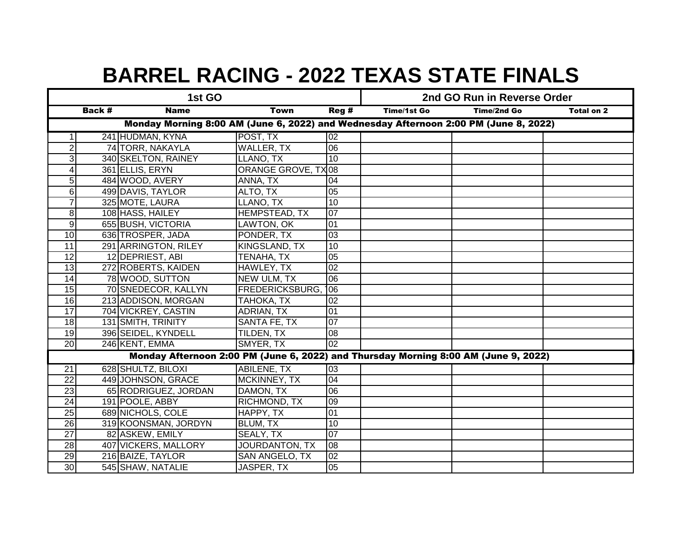| 1st GO                                                                               |  |                      |                        |                 | 2nd GO Run in Reverse Order |             |            |  |
|--------------------------------------------------------------------------------------|--|----------------------|------------------------|-----------------|-----------------------------|-------------|------------|--|
| Back #<br><b>Name</b><br><b>Town</b>                                                 |  |                      |                        | Reg#            | Time/1st Go                 | Time/2nd Go | Total on 2 |  |
| Monday Morning 8:00 AM (June 6, 2022) and Wednesday Afternoon 2:00 PM (June 8, 2022) |  |                      |                        |                 |                             |             |            |  |
|                                                                                      |  | 241 HUDMAN, KYNA     | POST, TX               | 02              |                             |             |            |  |
| $\overline{2}$                                                                       |  | 74 TORR, NAKAYLA     | <b>WALLER, TX</b>      | $\overline{06}$ |                             |             |            |  |
| 3                                                                                    |  | 340 SKELTON, RAINEY  | LLANO, TX              | 10              |                             |             |            |  |
| 4                                                                                    |  | 361 ELLIS, ERYN      | ORANGE GROVE, TX08     |                 |                             |             |            |  |
| 5                                                                                    |  | 484 WOOD, AVERY      | ANNA, TX               | 04              |                             |             |            |  |
| 6                                                                                    |  | 499 DAVIS, TAYLOR    | ALTO, TX               | 05              |                             |             |            |  |
| $\overline{7}$                                                                       |  | 325 MOTE, LAURA      | LLANO, TX              | $\overline{10}$ |                             |             |            |  |
| 8                                                                                    |  | 108 HASS, HAILEY     | <b>HEMPSTEAD, TX</b>   | $\overline{07}$ |                             |             |            |  |
| 9                                                                                    |  | 655 BUSH, VICTORIA   | LAWTON, OK             | $\overline{01}$ |                             |             |            |  |
| 10                                                                                   |  | 636 TROSPER, JADA    | PONDER, TX             | $\overline{03}$ |                             |             |            |  |
| $\overline{11}$                                                                      |  | 291 ARRINGTON, RILEY | <b>KINGSLAND, TX</b>   | 10              |                             |             |            |  |
| $\overline{12}$                                                                      |  | 12 DEPRIEST, ABI     | <b>TENAHA, TX</b>      | $\overline{05}$ |                             |             |            |  |
| $\overline{13}$                                                                      |  | 272 ROBERTS, KAIDEN  | HAWLEY, TX             | 02              |                             |             |            |  |
| $\overline{14}$                                                                      |  | 78 WOOD, SUTTON      | <b>NEW ULM, TX</b>     | $\overline{06}$ |                             |             |            |  |
| 15                                                                                   |  | 70 SNEDECOR, KALLYN  | <b>FREDERICKSBURG,</b> | 06              |                             |             |            |  |
| 16                                                                                   |  | 213 ADDISON, MORGAN  | TAHOKA, TX             | 02              |                             |             |            |  |
| $\overline{17}$                                                                      |  | 704 VICKREY, CASTIN  | ADRIAN, TX             | 01              |                             |             |            |  |
| 18                                                                                   |  | 131 SMITH, TRINITY   | SANTA FE, TX           | 07              |                             |             |            |  |
| $\overline{19}$                                                                      |  | 396 SEIDEL, KYNDELL  | TILDEN, TX             | 08              |                             |             |            |  |
| 20                                                                                   |  | 246 KENT, EMMA       | SMYER, TX              | $\overline{02}$ |                             |             |            |  |
| Monday Afternoon 2:00 PM (June 6, 2022) and Thursday Morning 8:00 AM (June 9, 2022)  |  |                      |                        |                 |                             |             |            |  |
| $\overline{21}$                                                                      |  | 628 SHULTZ, BILOXI   | <b>ABILENE, TX</b>     | 03              |                             |             |            |  |
| 22                                                                                   |  | 449 JOHNSON, GRACE   | MCKINNEY, TX           | 04              |                             |             |            |  |
| 23                                                                                   |  | 65 RODRIGUEZ, JORDAN | DAMON, TX              | 06              |                             |             |            |  |
| 24                                                                                   |  | 191 POOLE, ABBY      | RICHMOND, TX           | 09              |                             |             |            |  |
| 25                                                                                   |  | 689 NICHOLS, COLE    | HAPPY, TX              | 01              |                             |             |            |  |
| $\overline{26}$                                                                      |  | 319 KOONSMAN, JORDYN | BLUM, TX               | 10              |                             |             |            |  |
| $\overline{27}$                                                                      |  | 82 ASKEW, EMILY      | SEALY, TX              | $\overline{07}$ |                             |             |            |  |
| $\overline{28}$                                                                      |  | 407 VICKERS, MALLORY | JOURDANTON, TX         | 08              |                             |             |            |  |
| 29                                                                                   |  | 216 BAIZE, TAYLOR    | SAN ANGELO, TX         | 02              |                             |             |            |  |
| 30                                                                                   |  | 545 SHAW, NATALIE    | JASPER, TX             | 05              |                             |             |            |  |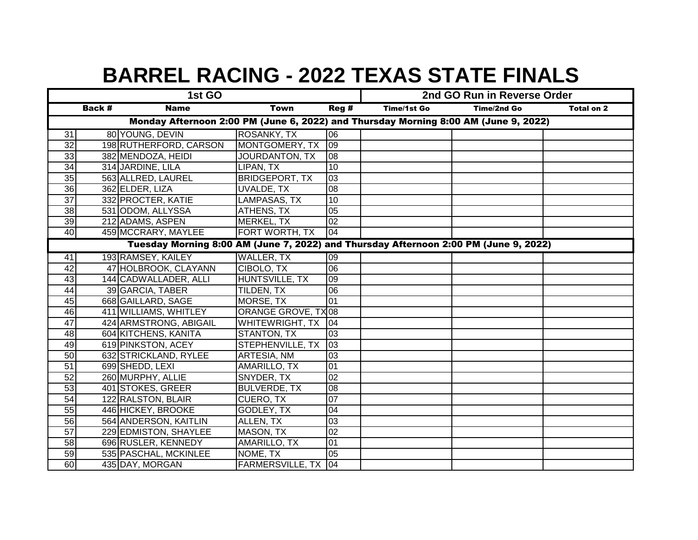| 1st GO                                                                              |  |                                                                                      |                       |                 | 2nd GO Run in Reverse Order |             |            |  |
|-------------------------------------------------------------------------------------|--|--------------------------------------------------------------------------------------|-----------------------|-----------------|-----------------------------|-------------|------------|--|
| <b>Back #</b><br>Reg #<br><b>Name</b><br><b>Town</b>                                |  |                                                                                      |                       |                 | <b>Time/1st Go</b>          | Time/2nd Go | Total on 2 |  |
| Monday Afternoon 2:00 PM (June 6, 2022) and Thursday Morning 8:00 AM (June 9, 2022) |  |                                                                                      |                       |                 |                             |             |            |  |
| 31                                                                                  |  | 80 YOUNG, DEVIN                                                                      | ROSANKY, TX           | 06              |                             |             |            |  |
| $\overline{32}$                                                                     |  | 198 RUTHERFORD, CARSON                                                               | MONTGOMERY, TX        | 09              |                             |             |            |  |
| 33                                                                                  |  | 382 MENDOZA, HEIDI                                                                   | JOURDANTON, TX        | 08              |                             |             |            |  |
| 34                                                                                  |  | 314 JARDINE, LILA                                                                    | LIPAN, TX             | 10              |                             |             |            |  |
| $\overline{35}$                                                                     |  | 563 ALLRED, LAUREL                                                                   | <b>BRIDGEPORT, TX</b> | 03              |                             |             |            |  |
| 36                                                                                  |  | 362 ELDER, LIZA                                                                      | UVALDE, TX            | 08              |                             |             |            |  |
| 37                                                                                  |  | 332 PROCTER, KATIE                                                                   | LAMPASAS, TX          | 10              |                             |             |            |  |
| 38                                                                                  |  | 531 ODOM, ALLYSSA                                                                    | ATHENS, TX            | 05              |                             |             |            |  |
| 39                                                                                  |  | 212 ADAMS, ASPEN                                                                     | MERKEL, TX            | $\overline{02}$ |                             |             |            |  |
| 40                                                                                  |  | 459 MCCRARY, MAYLEE                                                                  | FORT WORTH, TX        | 04              |                             |             |            |  |
|                                                                                     |  | Tuesday Morning 8:00 AM (June 7, 2022) and Thursday Afternoon 2:00 PM (June 9, 2022) |                       |                 |                             |             |            |  |
| 41                                                                                  |  | 193 RAMSEY, KAILEY                                                                   | <b>WALLER, TX</b>     | 60              |                             |             |            |  |
| 42                                                                                  |  | 47 HOLBROOK, CLAYANN                                                                 | CIBOLO, TX            | 06              |                             |             |            |  |
| 43                                                                                  |  | 144 CADWALLADER, ALLI                                                                | HUNTSVILLE, TX        | 09              |                             |             |            |  |
| 44                                                                                  |  | 39 GARCIA, TABER                                                                     | TILDEN, TX            | 06              |                             |             |            |  |
| 45                                                                                  |  | 668 GAILLARD, SAGE                                                                   | MORSE, TX             | 01              |                             |             |            |  |
| 46                                                                                  |  | 411 WILLIAMS, WHITLEY                                                                | ORANGE GROVE, TX 08   |                 |                             |             |            |  |
| 47                                                                                  |  | 424 ARMSTRONG, ABIGAIL                                                               | WHITEWRIGHT, TX       | 04              |                             |             |            |  |
| 48                                                                                  |  | 604 KITCHENS, KANITA                                                                 | STANTON, TX           | 03              |                             |             |            |  |
| 49                                                                                  |  | 619 PINKSTON, ACEY                                                                   | STEPHENVILLE, TX      | 03              |                             |             |            |  |
| $\overline{50}$                                                                     |  | 632 STRICKLAND, RYLEE                                                                | ARTESIA, NM           | 03              |                             |             |            |  |
| 51                                                                                  |  | 699 SHEDD, LEXI                                                                      | AMARILLO, TX          | 01              |                             |             |            |  |
| 52                                                                                  |  | 260 MURPHY, ALLIE                                                                    | SNYDER, TX            | 02              |                             |             |            |  |
| 53                                                                                  |  | 401 STOKES, GREER                                                                    | <b>BULVERDE, TX</b>   | 08              |                             |             |            |  |
| 54                                                                                  |  | 122 RALSTON, BLAIR                                                                   | CUERO, TX             | 07              |                             |             |            |  |
| 55                                                                                  |  | 446 HICKEY, BROOKE                                                                   | GODLEY, TX            | 04              |                             |             |            |  |
| 56                                                                                  |  | 564 ANDERSON, KAITLIN                                                                | ALLEN, TX             | $\overline{03}$ |                             |             |            |  |
| 57                                                                                  |  | 229 EDMISTON, SHAYLEE                                                                | MASON, TX             | 02              |                             |             |            |  |
| 58                                                                                  |  | 696 RUSLER, KENNEDY                                                                  | AMARILLO, TX          | 01              |                             |             |            |  |
| 59                                                                                  |  | 535 PASCHAL, MCKINLEE                                                                | NOME, TX              | 05              |                             |             |            |  |
| 60                                                                                  |  | 435 DAY, MORGAN                                                                      | FARMERSVILLE, TX      | 04              |                             |             |            |  |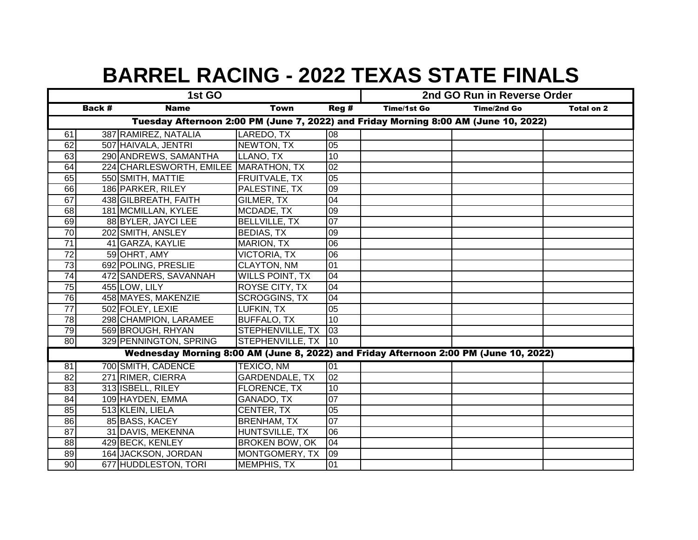| 1st GO                                                                              |                                                                                       |                                       |                        |                 | 2nd GO Run in Reverse Order |             |            |  |  |
|-------------------------------------------------------------------------------------|---------------------------------------------------------------------------------------|---------------------------------------|------------------------|-----------------|-----------------------------|-------------|------------|--|--|
|                                                                                     | <b>Back #</b>                                                                         | <b>Name</b>                           | <b>Town</b>            | Reg #           | <b>Time/1st Go</b>          | Time/2nd Go | Total on 2 |  |  |
| Tuesday Afternoon 2:00 PM (June 7, 2022) and Friday Morning 8:00 AM (June 10, 2022) |                                                                                       |                                       |                        |                 |                             |             |            |  |  |
| 61                                                                                  |                                                                                       | 387 RAMIREZ, NATALIA                  | LAREDO, TX             | 08              |                             |             |            |  |  |
| 62                                                                                  |                                                                                       | 507 HAIVALA, JENTRI                   | NEWTON, TX             | 05              |                             |             |            |  |  |
| 63                                                                                  |                                                                                       | 290 ANDREWS, SAMANTHA                 | LLANO, TX              | 10              |                             |             |            |  |  |
| 64                                                                                  |                                                                                       | 224 CHARLESWORTH, EMILEE MARATHON, TX |                        | 02              |                             |             |            |  |  |
| 65                                                                                  |                                                                                       | 550 SMITH, MATTIE                     | FRUITVALE, TX          | 05              |                             |             |            |  |  |
| 66                                                                                  |                                                                                       | 186 PARKER, RILEY                     | PALESTINE, TX          | 09              |                             |             |            |  |  |
| 67                                                                                  |                                                                                       | 438 GILBREATH, FAITH                  | GILMER, TX             | 04              |                             |             |            |  |  |
| 68                                                                                  |                                                                                       | 181 MCMILLAN, KYLEE                   | MCDADE, TX             | 09              |                             |             |            |  |  |
| 69                                                                                  |                                                                                       | 88 BYLER, JAYCI LEE                   | <b>BELLVILLE, TX</b>   | $\overline{07}$ |                             |             |            |  |  |
| $\overline{70}$                                                                     |                                                                                       | 202 SMITH, ANSLEY                     | <b>BEDIAS, TX</b>      | 09              |                             |             |            |  |  |
| $\overline{71}$                                                                     |                                                                                       | 41 GARZA, KAYLIE                      | <b>MARION, TX</b>      | $\overline{06}$ |                             |             |            |  |  |
| $\overline{72}$                                                                     |                                                                                       | 59 OHRT, AMY                          | <b>VICTORIA, TX</b>    | 06              |                             |             |            |  |  |
| 73                                                                                  |                                                                                       | 692 POLING, PRESLIE                   | <b>CLAYTON, NM</b>     | 01              |                             |             |            |  |  |
| 74                                                                                  |                                                                                       | 472 SANDERS, SAVANNAH                 | <b>WILLS POINT, TX</b> | 04              |                             |             |            |  |  |
| 75                                                                                  |                                                                                       | 455 LOW, LILY                         | ROYSE CITY, TX         | 04              |                             |             |            |  |  |
| 76                                                                                  |                                                                                       | 458 MAYES, MAKENZIE                   | <b>SCROGGINS, TX</b>   | 04              |                             |             |            |  |  |
| $\overline{77}$                                                                     |                                                                                       | 502 FOLEY, LEXIE                      | LUFKIN, TX             | 05              |                             |             |            |  |  |
| 78                                                                                  |                                                                                       | 298 CHAMPION, LARAMEE                 | <b>BUFFALO, TX</b>     | 10              |                             |             |            |  |  |
| 79                                                                                  |                                                                                       | 569 BROUGH, RHYAN                     | STEPHENVILLE, TX       | 103             |                             |             |            |  |  |
| $\overline{80}$                                                                     |                                                                                       | 329 PENNINGTON, SPRING                | STEPHENVILLE, TX 10    |                 |                             |             |            |  |  |
|                                                                                     | Wednesday Morning 8:00 AM (June 8, 2022) and Friday Afternoon 2:00 PM (June 10, 2022) |                                       |                        |                 |                             |             |            |  |  |
| $\overline{81}$                                                                     |                                                                                       | 700 SMITH, CADENCE                    | <b>TEXICO, NM</b>      | 01              |                             |             |            |  |  |
| 82                                                                                  |                                                                                       | 271 RIMER, CIERRA                     | <b>GARDENDALE, TX</b>  | 02              |                             |             |            |  |  |
| 83                                                                                  |                                                                                       | 313 ISBELL, RILEY                     | FLORENCE, TX           | 10              |                             |             |            |  |  |
| 84                                                                                  |                                                                                       | 109 HAYDEN, EMMA                      | GANADO, TX             | 07              |                             |             |            |  |  |
| 85                                                                                  |                                                                                       | 513 KLEIN, LIELA                      | CENTER, TX             | 05              |                             |             |            |  |  |
| 86                                                                                  |                                                                                       | 85 BASS, KACEY                        | <b>BRENHAM, TX</b>     | 07              |                             |             |            |  |  |
| $\overline{87}$                                                                     |                                                                                       | 31 DAVIS, MEKENNA                     | HUNTSVILLE, TX         | 06              |                             |             |            |  |  |
| 88                                                                                  |                                                                                       | 429 BECK, KENLEY                      | <b>BROKEN BOW, OK</b>  | 04              |                             |             |            |  |  |
| 89                                                                                  |                                                                                       | 164 JACKSON, JORDAN                   | MONTGOMERY, TX         | 09              |                             |             |            |  |  |
| 90                                                                                  |                                                                                       | 677 HUDDLESTON, TORI                  | <b>MEMPHIS, TX</b>     | 01              |                             |             |            |  |  |